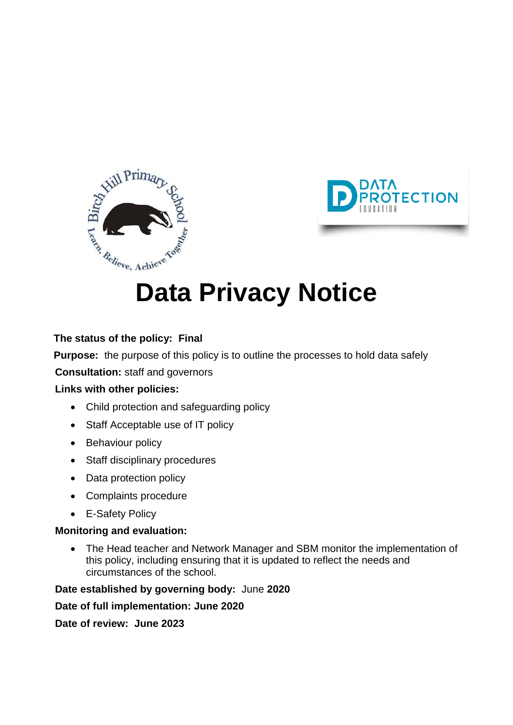



# **Data Privacy Notice**

#### **The status of the policy: Final**

**Purpose:** the purpose of this policy is to outline the processes to hold data safely

**Consultation:** staff and governors

#### **Links with other policies:**

- Child protection and safeguarding policy
- Staff Acceptable use of IT policy
- Behaviour policy
- Staff disciplinary procedures
- Data protection policy
- Complaints procedure
- E-Safety Policy

#### **Monitoring and evaluation:**

 The Head teacher and Network Manager and SBM monitor the implementation of this policy, including ensuring that it is updated to reflect the needs and circumstances of the school.

**Date established by governing body:** June **2020** 

**Date of full implementation: June 2020**

**Date of review: June 2023**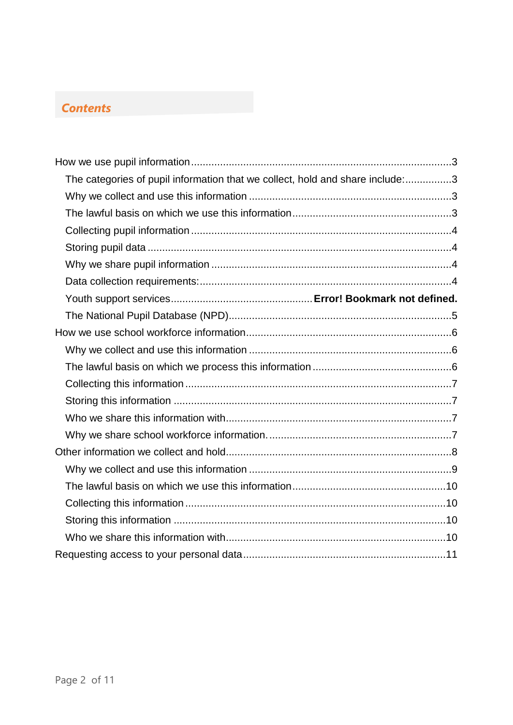#### *Contents*

<span id="page-1-0"></span>

| The categories of pupil information that we collect, hold and share include:3 |  |
|-------------------------------------------------------------------------------|--|
|                                                                               |  |
|                                                                               |  |
|                                                                               |  |
|                                                                               |  |
|                                                                               |  |
|                                                                               |  |
|                                                                               |  |
|                                                                               |  |
|                                                                               |  |
|                                                                               |  |
|                                                                               |  |
|                                                                               |  |
|                                                                               |  |
|                                                                               |  |
|                                                                               |  |
|                                                                               |  |
|                                                                               |  |
|                                                                               |  |
|                                                                               |  |
|                                                                               |  |
|                                                                               |  |
|                                                                               |  |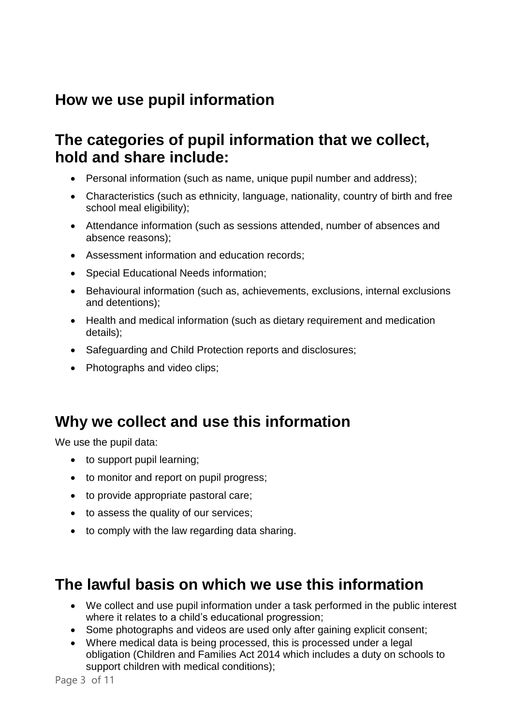# **How we use pupil information**

### <span id="page-2-0"></span>**The categories of pupil information that we collect, hold and share include:**

- Personal information (such as name, unique pupil number and address);
- Characteristics (such as ethnicity, language, nationality, country of birth and free school meal eligibility);
- Attendance information (such as sessions attended, number of absences and absence reasons);
- Assessment information and education records;
- Special Educational Needs information;
- Behavioural information (such as, achievements, exclusions, internal exclusions and detentions);
- Health and medical information (such as dietary requirement and medication details);
- Safeguarding and Child Protection reports and disclosures;
- Photographs and video clips;

### <span id="page-2-1"></span>**Why we collect and use this information**

We use the pupil data:

- to support pupil learning;
- to monitor and report on pupil progress;
- to provide appropriate pastoral care;
- to assess the quality of our services;
- to comply with the law regarding data sharing.

### <span id="page-2-2"></span>**The lawful basis on which we use this information**

- We collect and use pupil information under a task performed in the public interest where it relates to a child's educational progression;
- Some photographs and videos are used only after gaining explicit consent:
- Where medical data is being processed, this is processed under a legal obligation (Children and Families Act 2014 which includes a duty on schools to support children with medical conditions);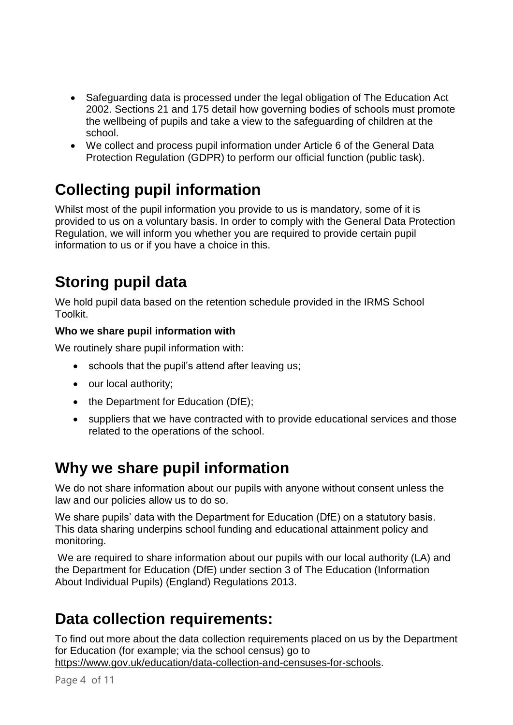- Safeguarding data is processed under the legal obligation of The Education Act 2002. Sections 21 and 175 detail how governing bodies of schools must promote the wellbeing of pupils and take a view to the safeguarding of children at the school.
- We collect and process pupil information under Article 6 of the General Data Protection Regulation (GDPR) to perform our official function (public task).

# <span id="page-3-0"></span>**Collecting pupil information**

Whilst most of the pupil information you provide to us is mandatory, some of it is provided to us on a voluntary basis. In order to comply with the General Data Protection Regulation, we will inform you whether you are required to provide certain pupil information to us or if you have a choice in this.

# <span id="page-3-1"></span>**Storing pupil data**

We hold pupil data based on the retention schedule provided in the IRMS School Toolkit.

#### **Who we share pupil information with**

We routinely share pupil information with:

- schools that the pupil's attend after leaving us:
- our local authority;
- the Department for Education (DfE);
- suppliers that we have contracted with to provide educational services and those related to the operations of the school.

# <span id="page-3-2"></span>**Why we share pupil information**

We do not share information about our pupils with anyone without consent unless the law and our policies allow us to do so.

We share pupils' data with the Department for Education (DfE) on a statutory basis. This data sharing underpins school funding and educational attainment policy and monitoring.

We are required to share information about our pupils with our local authority (LA) and the Department for Education (DfE) under section 3 of The Education (Information About Individual Pupils) (England) Regulations 2013.

# <span id="page-3-3"></span>**Data collection requirements:**

To find out more about the data collection requirements placed on us by the Department for Education (for example; via the school census) go to [https://www.gov.uk/education/data-collection-and-censuses-for-schools.](https://www.gov.uk/education/data-collection-and-censuses-for-schools)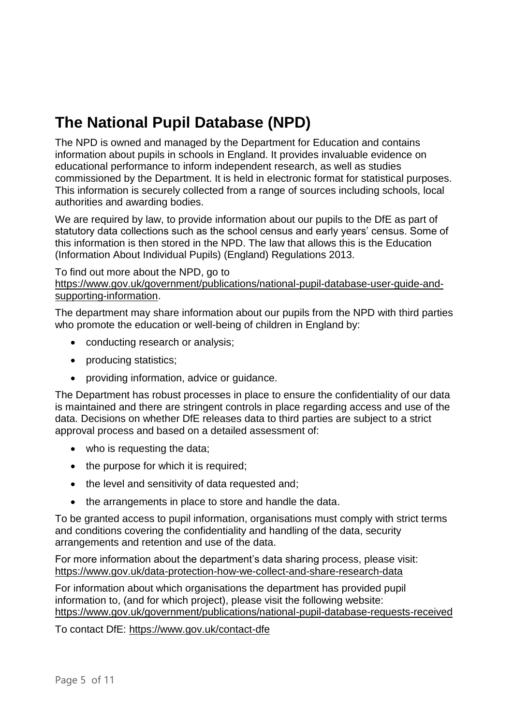# <span id="page-4-0"></span>**The National Pupil Database (NPD)**

The NPD is owned and managed by the Department for Education and contains information about pupils in schools in England. It provides invaluable evidence on educational performance to inform independent research, as well as studies commissioned by the Department. It is held in electronic format for statistical purposes. This information is securely collected from a range of sources including schools, local authorities and awarding bodies.

We are required by law, to provide information about our pupils to the DfE as part of statutory data collections such as the school census and early years' census. Some of this information is then stored in the NPD. The law that allows this is the Education (Information About Individual Pupils) (England) Regulations 2013.

To find out more about the NPD, go to [https://www.gov.uk/government/publications/national-pupil-database-user-guide-and](https://www.gov.uk/government/publications/national-pupil-database-user-guide-and-supporting-information)[supporting-information.](https://www.gov.uk/government/publications/national-pupil-database-user-guide-and-supporting-information)

The department may share information about our pupils from the NPD with third parties who promote the education or well-being of children in England by:

- conducting research or analysis;
- producing statistics;
- providing information, advice or guidance.

The Department has robust processes in place to ensure the confidentiality of our data is maintained and there are stringent controls in place regarding access and use of the data. Decisions on whether DfE releases data to third parties are subject to a strict approval process and based on a detailed assessment of:

- who is requesting the data;
- $\bullet$  the purpose for which it is required;
- the level and sensitivity of data requested and;
- the arrangements in place to store and handle the data.

To be granted access to pupil information, organisations must comply with strict terms and conditions covering the confidentiality and handling of the data, security arrangements and retention and use of the data.

For more information about the department's data sharing process, please visit: <https://www.gov.uk/data-protection-how-we-collect-and-share-research-data>

For information about which organisations the department has provided pupil information to, (and for which project), please visit the following website: <https://www.gov.uk/government/publications/national-pupil-database-requests-received>

<span id="page-4-1"></span>To contact DfE:<https://www.gov.uk/contact-dfe>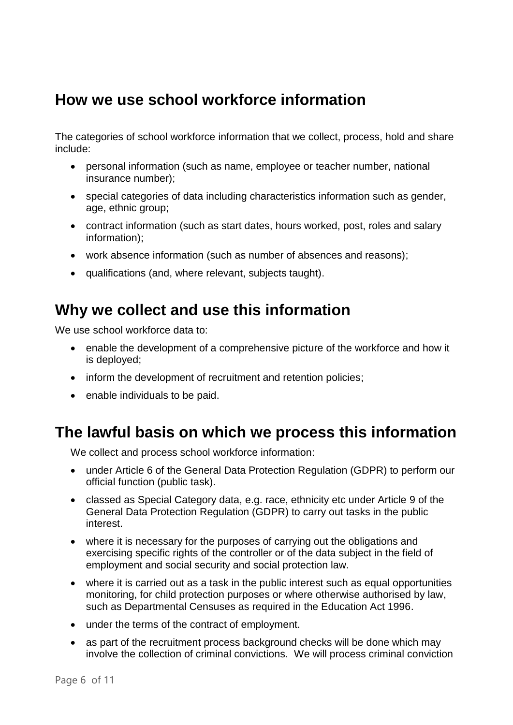### **How we use school workforce information**

The categories of school workforce information that we collect, process, hold and share include:

- personal information (such as name, employee or teacher number, national insurance number);
- special categories of data including characteristics information such as gender, age, ethnic group;
- contract information (such as start dates, hours worked, post, roles and salary information);
- work absence information (such as number of absences and reasons);
- qualifications (and, where relevant, subjects taught).

### <span id="page-5-0"></span>**Why we collect and use this information**

We use school workforce data to:

- enable the development of a comprehensive picture of the workforce and how it is deployed;
- inform the development of recruitment and retention policies;
- enable individuals to be paid.

### <span id="page-5-1"></span>**The lawful basis on which we process this information**

We collect and process school workforce information:

- under Article 6 of the General Data Protection Regulation (GDPR) to perform our official function (public task).
- classed as Special Category data, e.g. race, ethnicity etc under Article 9 of the General Data Protection Regulation (GDPR) to carry out tasks in the public interest.
- where it is necessary for the purposes of carrying out the obligations and exercising specific rights of the controller or of the data subject in the field of employment and social security and social protection law.
- where it is carried out as a task in the public interest such as equal opportunities monitoring, for child protection purposes or where otherwise authorised by law, such as Departmental Censuses as required in the Education Act 1996.
- under the terms of the contract of employment.
- as part of the recruitment process background checks will be done which may involve the collection of criminal convictions. We will process criminal conviction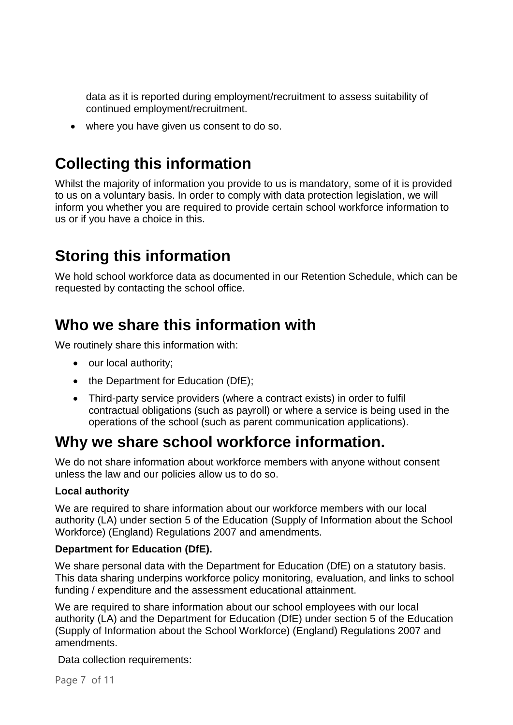data as it is reported during employment/recruitment to assess suitability of continued employment/recruitment.

where you have given us consent to do so.

# <span id="page-6-0"></span>**Collecting this information**

Whilst the majority of information you provide to us is mandatory, some of it is provided to us on a voluntary basis. In order to comply with data protection legislation, we will inform you whether you are required to provide certain school workforce information to us or if you have a choice in this.

# <span id="page-6-1"></span>**Storing this information**

We hold school workforce data as documented in our Retention Schedule, which can be requested by contacting the school office.

### <span id="page-6-2"></span>**Who we share this information with**

We routinely share this information with:

- our local authority;
- the Department for Education (DfE);
- Third-party service providers (where a contract exists) in order to fulfil contractual obligations (such as payroll) or where a service is being used in the operations of the school (such as parent communication applications).

# <span id="page-6-3"></span>**Why we share school workforce information.**

We do not share information about workforce members with anyone without consent unless the law and our policies allow us to do so.

#### **Local authority**

We are required to share information about our workforce members with our local authority (LA) under section 5 of the Education (Supply of Information about the School Workforce) (England) Regulations 2007 and amendments.

#### **Department for Education (DfE).**

We share personal data with the Department for Education (DfE) on a statutory basis. This data sharing underpins workforce policy monitoring, evaluation, and links to school funding / expenditure and the assessment educational attainment.

We are required to share information about our school employees with our local authority (LA) and the Department for Education (DfE) under section 5 of the Education (Supply of Information about the School Workforce) (England) Regulations 2007 and amendments.

Data collection requirements:

Page 7 of 11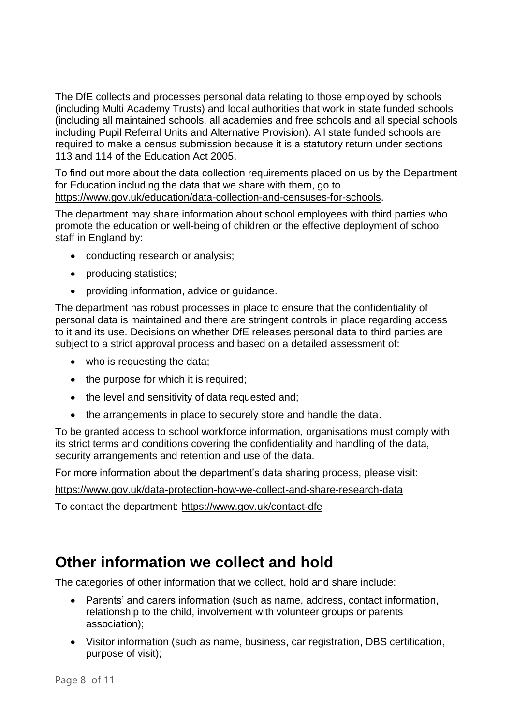The DfE collects and processes personal data relating to those employed by schools (including Multi Academy Trusts) and local authorities that work in state funded schools (including all maintained schools, all academies and free schools and all special schools including Pupil Referral Units and Alternative Provision). All state funded schools are required to make a census submission because it is a statutory return under sections 113 and 114 of the Education Act 2005.

To find out more about the data collection requirements placed on us by the Department for Education including the data that we share with them, go to [https://www.gov.uk/education/data-collection-and-censuses-for-schools.](https://www.gov.uk/education/data-collection-and-censuses-for-schools)

The department may share information about school employees with third parties who promote the education or well-being of children or the effective deployment of school staff in England by:

- conducting research or analysis;
- producing statistics;
- providing information, advice or quidance.

The department has robust processes in place to ensure that the confidentiality of personal data is maintained and there are stringent controls in place regarding access to it and its use. Decisions on whether DfE releases personal data to third parties are subject to a strict approval process and based on a detailed assessment of:

- who is requesting the data;
- $\bullet$  the purpose for which it is required;
- the level and sensitivity of data requested and;
- the arrangements in place to securely store and handle the data.

To be granted access to school workforce information, organisations must comply with its strict terms and conditions covering the confidentiality and handling of the data, security arrangements and retention and use of the data.

For more information about the department's data sharing process, please visit:

<https://www.gov.uk/data-protection-how-we-collect-and-share-research-data>

To contact the department:<https://www.gov.uk/contact-dfe>

#### <span id="page-7-0"></span>**Other information we collect and hold**

The categories of other information that we collect, hold and share include:

- Parents' and carers information (such as name, address, contact information, relationship to the child, involvement with volunteer groups or parents association);
- Visitor information (such as name, business, car registration, DBS certification, purpose of visit);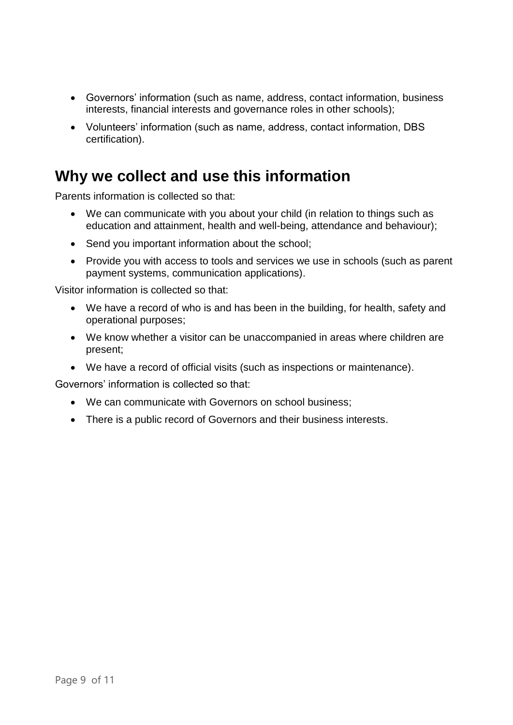- Governors' information (such as name, address, contact information, business interests, financial interests and governance roles in other schools);
- Volunteers' information (such as name, address, contact information, DBS certification).

#### <span id="page-8-0"></span>**Why we collect and use this information**

Parents information is collected so that:

- We can communicate with you about your child (in relation to things such as education and attainment, health and well-being, attendance and behaviour);
- Send you important information about the school;
- Provide you with access to tools and services we use in schools (such as parent payment systems, communication applications).

Visitor information is collected so that:

- We have a record of who is and has been in the building, for health, safety and operational purposes;
- We know whether a visitor can be unaccompanied in areas where children are present;
- We have a record of official visits (such as inspections or maintenance).

Governors' information is collected so that:

- We can communicate with Governors on school business;
- There is a public record of Governors and their business interests.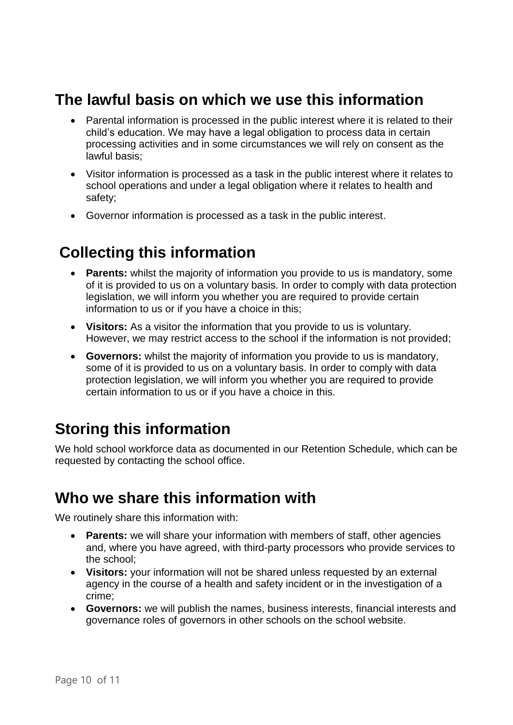### <span id="page-9-0"></span>**The lawful basis on which we use this information**

- Parental information is processed in the public interest where it is related to their child's education. We may have a legal obligation to process data in certain processing activities and in some circumstances we will rely on consent as the lawful basis;
- Visitor information is processed as a task in the public interest where it relates to school operations and under a legal obligation where it relates to health and safety;
- Governor information is processed as a task in the public interest.

# <span id="page-9-1"></span>**Collecting this information**

- **Parents:** whilst the majority of information you provide to us is mandatory, some of it is provided to us on a voluntary basis. In order to comply with data protection legislation, we will inform you whether you are required to provide certain information to us or if you have a choice in this;
- **Visitors:** As a visitor the information that you provide to us is voluntary. However, we may restrict access to the school if the information is not provided;
- **Governors:** whilst the majority of information you provide to us is mandatory, some of it is provided to us on a voluntary basis. In order to comply with data protection legislation, we will inform you whether you are required to provide certain information to us or if you have a choice in this.

### <span id="page-9-2"></span>**Storing this information**

We hold school workforce data as documented in our Retention Schedule, which can be requested by contacting the school office.

#### <span id="page-9-3"></span>**Who we share this information with**

We routinely share this information with:

- **Parents:** we will share your information with members of staff, other agencies and, where you have agreed, with third-party processors who provide services to the school;
- **Visitors:** your information will not be shared unless requested by an external agency in the course of a health and safety incident or in the investigation of a crime;
- **Governors:** we will publish the names, business interests, financial interests and governance roles of governors in other schools on the school website.